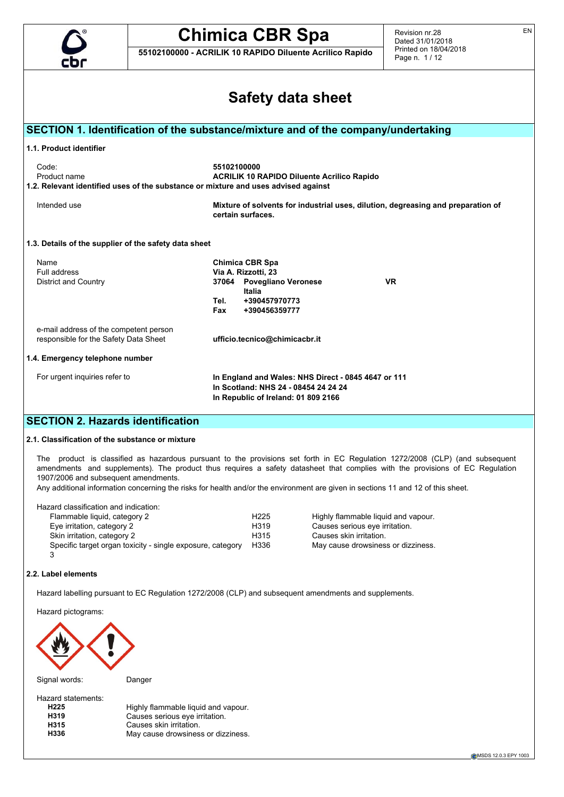

**55102100000 - ACRILIK 10 RAPIDO Diluente Acrilico Rapido**

Revision nr.28 Dated 31/01/2018 Printed on 18/04/2018 Page n. 1 / 12

EN

| <b>Safety data sheet</b>                                                                                    |                                                                                                                                                           |  |  |  |  |  |
|-------------------------------------------------------------------------------------------------------------|-----------------------------------------------------------------------------------------------------------------------------------------------------------|--|--|--|--|--|
|                                                                                                             | SECTION 1. Identification of the substance/mixture and of the company/undertaking                                                                         |  |  |  |  |  |
| 1.1. Product identifier                                                                                     |                                                                                                                                                           |  |  |  |  |  |
| Code:<br>Product name<br>1.2. Relevant identified uses of the substance or mixture and uses advised against | 55102100000<br><b>ACRILIK 10 RAPIDO Diluente Acrilico Rapido</b>                                                                                          |  |  |  |  |  |
| Intended use                                                                                                | Mixture of solvents for industrial uses, dilution, degreasing and preparation of<br>certain surfaces.                                                     |  |  |  |  |  |
| 1.3. Details of the supplier of the safety data sheet                                                       |                                                                                                                                                           |  |  |  |  |  |
| Name<br>Full address<br>District and Country                                                                | <b>Chimica CBR Spa</b><br>Via A. Rizzotti, 23<br>37064 Povegliano Veronese<br><b>VR</b><br>Italia<br>Tel.<br>+390457970773<br><b>Fax</b><br>+390456359777 |  |  |  |  |  |
| e-mail address of the competent person<br>responsible for the Safety Data Sheet                             | ufficio.tecnico@chimicacbr.it                                                                                                                             |  |  |  |  |  |
| 1.4. Emergency telephone number                                                                             |                                                                                                                                                           |  |  |  |  |  |
| For urgent inquiries refer to                                                                               | In England and Wales: NHS Direct - 0845 4647 or 111<br>In Scotland: NHS 24 - 08454 24 24 24<br>In Republic of Ireland: 01 809 2166                        |  |  |  |  |  |
| <b>SECTION 2. Hazards identification</b>                                                                    |                                                                                                                                                           |  |  |  |  |  |

## **2.1. Classification of the substance or mixture**

The product is classified as hazardous pursuant to the provisions set forth in EC Regulation 1272/2008 (CLP) (and subsequent amendments and supplements). The product thus requires a safety datasheet that complies with the provisions of EC Regulation 1907/2006 and subsequent amendments.

Any additional information concerning the risks for health and/or the environment are given in sections 11 and 12 of this sheet.

Hazard classification and indication:

| Flammable liquid, category 2                               | H <sub>225</sub>  | Highly flammable liquid and vapour. |
|------------------------------------------------------------|-------------------|-------------------------------------|
| Eye irritation, category 2                                 | H <sub>3</sub> 19 | Causes serious eye irritation.      |
| Skin irritation, category 2                                | H315              | Causes skin irritation.             |
| Specific target organ toxicity - single exposure, category | H336              | May cause drowsiness or dizziness.  |
|                                                            |                   |                                     |

### **2.2. Label elements**

Hazard labelling pursuant to EC Regulation 1272/2008 (CLP) and subsequent amendments and supplements.

Hazard pictograms:



Signal words: Danger

Hazard statements:<br>H225 **H225** Highly flammable liquid and vapour.<br>**H319** Causes serious eve irritation. **H319** Causes serious eye irritation.<br> **H315** Causes skin irritation. **H315** Causes skin irritation.<br>**H336** May cause drowsines: May cause drowsiness or dizziness.

CMSDS 12.0.3 EPY 1003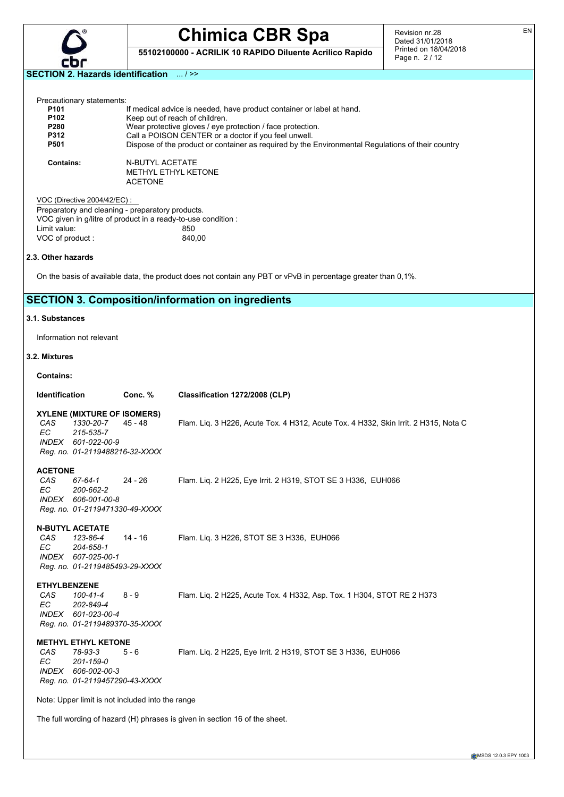

**55102100000 - ACRILIK 10 RAPIDO Diluente Acrilico Rapido**

Revision nr.28 Dated 31/01/2018 Printed on 18/04/2018 Page n. 2 / 12

**SECTION 2. Hazards identification** ... / >>

| Precautionary statements:<br>P101<br>P102<br>P280<br>P312<br>P501     |                                                                                                                   | If medical advice is needed, have product container or label at hand.<br>Keep out of reach of children.<br>Wear protective gloves / eye protection / face protection.<br>Call a POISON CENTER or a doctor if you feel unwell.<br>Dispose of the product or container as required by the Environmental Regulations of their country |  |  |  |  |  |
|-----------------------------------------------------------------------|-------------------------------------------------------------------------------------------------------------------|------------------------------------------------------------------------------------------------------------------------------------------------------------------------------------------------------------------------------------------------------------------------------------------------------------------------------------|--|--|--|--|--|
| <b>Contains:</b>                                                      | <b>N-BUTYL ACETATE</b><br><b>ACETONE</b>                                                                          | METHYL ETHYL KETONE                                                                                                                                                                                                                                                                                                                |  |  |  |  |  |
| VOC (Directive 2004/42/EC) :                                          |                                                                                                                   |                                                                                                                                                                                                                                                                                                                                    |  |  |  |  |  |
|                                                                       | Preparatory and cleaning - preparatory products.<br>VOC given in g/litre of product in a ready-to-use condition : |                                                                                                                                                                                                                                                                                                                                    |  |  |  |  |  |
| Limit value:                                                          |                                                                                                                   | 850                                                                                                                                                                                                                                                                                                                                |  |  |  |  |  |
| VOC of product:                                                       |                                                                                                                   | 840,00                                                                                                                                                                                                                                                                                                                             |  |  |  |  |  |
| 2.3. Other hazards                                                    |                                                                                                                   |                                                                                                                                                                                                                                                                                                                                    |  |  |  |  |  |
|                                                                       |                                                                                                                   | On the basis of available data, the product does not contain any PBT or vPvB in percentage greater than 0,1%.                                                                                                                                                                                                                      |  |  |  |  |  |
|                                                                       |                                                                                                                   | <b>SECTION 3. Composition/information on ingredients</b>                                                                                                                                                                                                                                                                           |  |  |  |  |  |
| 3.1. Substances                                                       |                                                                                                                   |                                                                                                                                                                                                                                                                                                                                    |  |  |  |  |  |
| Information not relevant                                              |                                                                                                                   |                                                                                                                                                                                                                                                                                                                                    |  |  |  |  |  |
| 3.2. Mixtures                                                         |                                                                                                                   |                                                                                                                                                                                                                                                                                                                                    |  |  |  |  |  |
| <b>Contains:</b>                                                      |                                                                                                                   |                                                                                                                                                                                                                                                                                                                                    |  |  |  |  |  |
| <b>Identification</b>                                                 | Conc. %                                                                                                           | Classification 1272/2008 (CLP)                                                                                                                                                                                                                                                                                                     |  |  |  |  |  |
| CAS <sup>.</sup><br>EC.<br>215-535-7<br>INDEX 601-022-00-9            | <b>XYLENE (MIXTURE OF ISOMERS)</b><br>1330-20-7<br>$45 - 48$<br>Reg. no. 01-2119488216-32-XXXX                    | Flam. Lig. 3 H226, Acute Tox. 4 H312, Acute Tox. 4 H332, Skin Irrit. 2 H315, Nota C                                                                                                                                                                                                                                                |  |  |  |  |  |
|                                                                       |                                                                                                                   |                                                                                                                                                                                                                                                                                                                                    |  |  |  |  |  |
| <b>ACETONE</b><br>CAS.<br>67-64-1                                     | $24 - 26$                                                                                                         | Flam. Lig. 2 H225, Eye Irrit. 2 H319, STOT SE 3 H336, EUH066                                                                                                                                                                                                                                                                       |  |  |  |  |  |
| EC.<br>200-662-2<br>INDEX 606-001-00-8                                | Reg. no. 01-2119471330-49-XXXX                                                                                    |                                                                                                                                                                                                                                                                                                                                    |  |  |  |  |  |
|                                                                       |                                                                                                                   |                                                                                                                                                                                                                                                                                                                                    |  |  |  |  |  |
| <b>N-BUTYL ACETATE</b><br>CAS<br>123-86-4<br>EС<br>204-658-1<br>INDEX | 14 - 16<br>607-025-00-1                                                                                           | Flam. Lig. 3 H226, STOT SE 3 H336, EUH066                                                                                                                                                                                                                                                                                          |  |  |  |  |  |
|                                                                       | Reg. no. 01-2119485493-29-XXXX                                                                                    |                                                                                                                                                                                                                                                                                                                                    |  |  |  |  |  |
| <b>ETHYLBENZENE</b>                                                   |                                                                                                                   |                                                                                                                                                                                                                                                                                                                                    |  |  |  |  |  |
| CAS<br>100-41-4<br>EC<br>202-849-4<br><i>INDEX</i>                    | $8 - 9$<br>601-023-00-4                                                                                           | Flam. Liq. 2 H225, Acute Tox. 4 H332, Asp. Tox. 1 H304, STOT RE 2 H373                                                                                                                                                                                                                                                             |  |  |  |  |  |
|                                                                       | Reg. no. 01-2119489370-35-XXXX                                                                                    |                                                                                                                                                                                                                                                                                                                                    |  |  |  |  |  |
| <b>METHYL ETHYL KETONE</b><br>CAS<br>78-93-3<br>EC<br>201-159-0       | 5 - 6                                                                                                             | Flam. Lig. 2 H225, Eye Irrit. 2 H319, STOT SE 3 H336, EUH066                                                                                                                                                                                                                                                                       |  |  |  |  |  |
| <i>INDEX</i>                                                          | 606-002-00-3<br>Reg. no. 01-2119457290-43-XXXX                                                                    |                                                                                                                                                                                                                                                                                                                                    |  |  |  |  |  |
|                                                                       | Note: Upper limit is not included into the range                                                                  |                                                                                                                                                                                                                                                                                                                                    |  |  |  |  |  |
|                                                                       |                                                                                                                   | The full wording of hazard (H) phrases is given in section 16 of the sheet.                                                                                                                                                                                                                                                        |  |  |  |  |  |

EN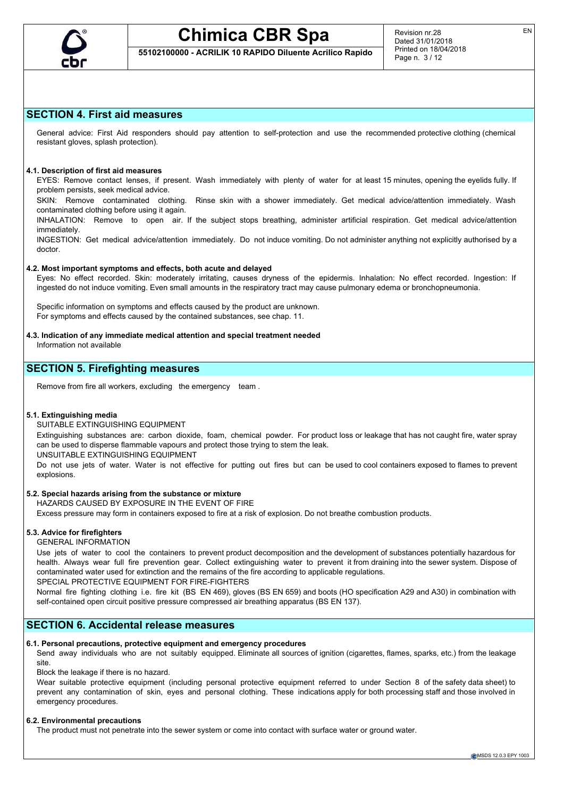

## **55102100000 - ACRILIK 10 RAPIDO Diluente Acrilico Rapido**

## **SECTION 4. First aid measures**

General advice: First Aid responders should pay attention to self-protection and use the recommended protective clothing (chemical resistant gloves, splash protection).

## **4.1. Description of first aid measures**

EYES: Remove contact lenses, if present. Wash immediately with plenty of water for at least 15 minutes, opening the eyelids fully. If problem persists, seek medical advice.

SKIN: Remove contaminated clothing. Rinse skin with a shower immediately. Get medical advice/attention immediately. Wash contaminated clothing before using it again.

INHALATION: Remove to open air. If the subject stops breathing, administer artificial respiration. Get medical advice/attention immediately.

INGESTION: Get medical advice/attention immediately. Do not induce vomiting. Do not administer anything not explicitly authorised by a doctor.

#### **4.2. Most important symptoms and effects, both acute and delayed**

Eyes: No effect recorded. Skin: moderately irritating, causes dryness of the epidermis. Inhalation: No effect recorded. Ingestion: If ingested do not induce vomiting. Even small amounts in the respiratory tract may cause pulmonary edema or bronchopneumonia.

Specific information on symptoms and effects caused by the product are unknown. For symptoms and effects caused by the contained substances, see chap. 11.

**4.3. Indication of any immediate medical attention and special treatment needed**

Information not available

## **SECTION 5. Firefighting measures**

Remove from fire all workers, excluding the emergency team .

### **5.1. Extinguishing media**

SUITABLE EXTINGUISHING EQUIPMENT

Extinguishing substances are: carbon dioxide, foam, chemical powder. For product loss or leakage that has not caught fire, water spray can be used to disperse flammable vapours and protect those trying to stem the leak.

UNSUITABLE EXTINGUISHING EQUIPMENT

Do not use jets of water. Water is not effective for putting out fires but can be used to cool containers exposed to flames to prevent explosions.

### **5.2. Special hazards arising from the substance or mixture**

HAZARDS CAUSED BY EXPOSURE IN THE EVENT OF FIRE

Excess pressure may form in containers exposed to fire at a risk of explosion. Do not breathe combustion products.

## **5.3. Advice for firefighters**

GENERAL INFORMATION

Use jets of water to cool the containers to prevent product decomposition and the development of substances potentially hazardous for health. Always wear full fire prevention gear. Collect extinguishing water to prevent it from draining into the sewer system. Dispose of contaminated water used for extinction and the remains of the fire according to applicable regulations.

SPECIAL PROTECTIVE EQUIPMENT FOR FIRE-FIGHTERS

Normal fire fighting clothing i.e. fire kit (BS EN 469), gloves (BS EN 659) and boots (HO specification A29 and A30) in combination with self-contained open circuit positive pressure compressed air breathing apparatus (BS EN 137).

## **SECTION 6. Accidental release measures**

#### **6.1. Personal precautions, protective equipment and emergency procedures**

Send away individuals who are not suitably equipped. Eliminate all sources of ignition (cigarettes, flames, sparks, etc.) from the leakage site.

Block the leakage if there is no hazard.

Wear suitable protective equipment (including personal protective equipment referred to under Section 8 of the safety data sheet) to prevent any contamination of skin, eyes and personal clothing. These indications apply for both processing staff and those involved in emergency procedures.

### **6.2. Environmental precautions**

The product must not penetrate into the sewer system or come into contact with surface water or ground water.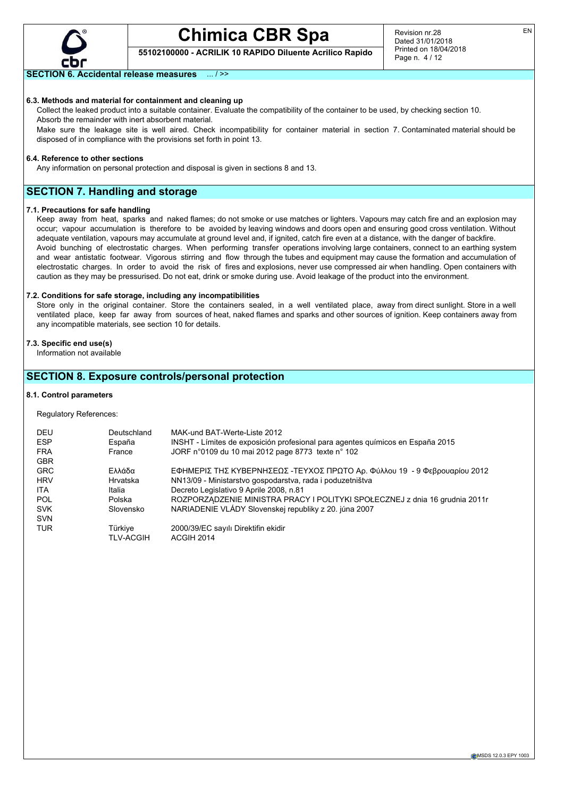

**55102100000 - ACRILIK 10 RAPIDO Diluente Acrilico Rapido**

## **SECTION 6. Accidental release measures** ... / >>

#### **6.3. Methods and material for containment and cleaning up**

Collect the leaked product into a suitable container. Evaluate the compatibility of the container to be used, by checking section 10. Absorb the remainder with inert absorbent material.

Make sure the leakage site is well aired. Check incompatibility for container material in section 7. Contaminated material should be disposed of in compliance with the provisions set forth in point 13.

#### **6.4. Reference to other sections**

Any information on personal protection and disposal is given in sections 8 and 13.

## **SECTION 7. Handling and storage**

#### **7.1. Precautions for safe handling**

Keep away from heat, sparks and naked flames; do not smoke or use matches or lighters. Vapours may catch fire and an explosion may occur; vapour accumulation is therefore to be avoided by leaving windows and doors open and ensuring good cross ventilation. Without adequate ventilation, vapours may accumulate at ground level and, if ignited, catch fire even at a distance, with the danger of backfire. Avoid bunching of electrostatic charges. When performing transfer operations involving large containers, connect to an earthing system and wear antistatic footwear. Vigorous stirring and flow through the tubes and equipment may cause the formation and accumulation of electrostatic charges. In order to avoid the risk of fires and explosions, never use compressed air when handling. Open containers with caution as they may be pressurised. Do not eat, drink or smoke during use. Avoid leakage of the product into the environment.

#### **7.2. Conditions for safe storage, including any incompatibilities**

Store only in the original container. Store the containers sealed, in a well ventilated place, away from direct sunlight. Store in a well ventilated place, keep far away from sources of heat, naked flames and sparks and other sources of ignition. Keep containers away from any incompatible materials, see section 10 for details.

#### **7.3. Specific end use(s)**

Information not available

## **SECTION 8. Exposure controls/personal protection**

### **8.1. Control parameters**

Regulatory References:

| DEU<br><b>ESP</b>        | Deutschland<br>España | MAK-und BAT-Werte-Liste 2012<br>INSHT - Límites de exposición profesional para agentes guímicos en España 2015 |
|--------------------------|-----------------------|----------------------------------------------------------------------------------------------------------------|
| <b>FRA</b><br><b>GBR</b> | France                | JORF n°0109 du 10 mai 2012 page 8773 texte n° 102                                                              |
| <b>GRC</b>               | Ελλάδα                | ΕΦΗΜΕΡΙΣ ΤΗΣ ΚΥΒΕΡΝΗΣΕΩΣ -ΤΕΥΧΟΣ ΠΡΩΤΟ Αρ. Φύλλου 19 - 9 Φεβρουαρίου 2012                                      |
| <b>HRV</b>               | Hrvatska              | NN13/09 - Ministarstvo gospodarstva, rada i poduzetništva                                                      |
| <b>ITA</b>               | Italia                | Decreto Legislativo 9 Aprile 2008, n.81                                                                        |
| <b>POL</b>               | Polska                | ROZPORZĄDZENIE MINISTRA PRACY I POLITYKI SPOŁECZNEJ z dnia 16 grudnia 2011r                                    |
| <b>SVK</b>               | Slovensko             | NARIADENIE VLÁDY Slovenskej republiky z 20. júna 2007                                                          |
| <b>SVN</b>               |                       |                                                                                                                |
| <b>TUR</b>               | Türkiye               | 2000/39/EC sayılı Direktifin ekidir                                                                            |
|                          | <b>TLV-ACGIH</b>      | ACGIH 2014                                                                                                     |

EN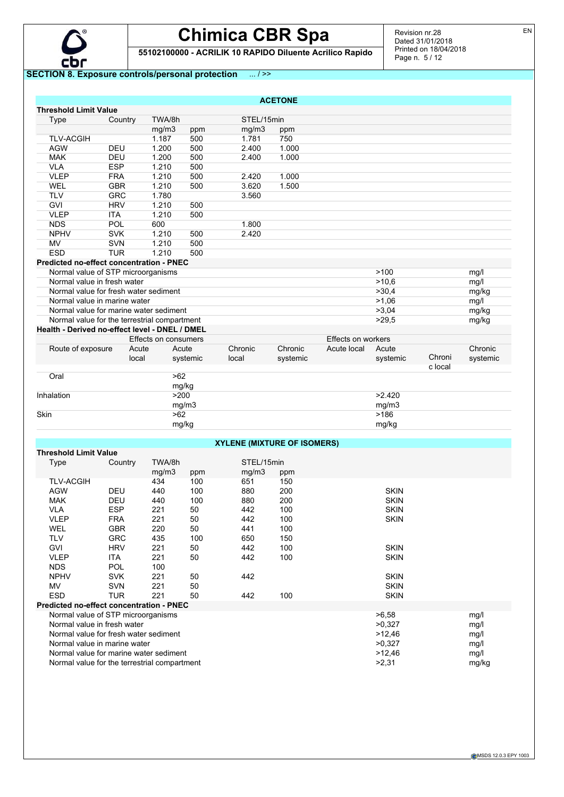

**55102100000 - ACRILIK 10 RAPIDO Diluente Acrilico Rapido**

## **SECTION 8. Exposure controls/personal protection** ... / >>

|                                                |            |                      |          |                                    | <b>ACETONE</b> |                    |             |         |          |
|------------------------------------------------|------------|----------------------|----------|------------------------------------|----------------|--------------------|-------------|---------|----------|
| <b>Threshold Limit Value</b>                   |            |                      |          |                                    |                |                    |             |         |          |
| Type                                           | Country    | TWA/8h               |          | STEL/15min                         |                |                    |             |         |          |
|                                                |            | mg/m3                | ppm      | mq/m3                              | ppm            |                    |             |         |          |
| <b>TLV-ACGIH</b>                               |            | 1.187                | 500      | 1.781                              | 750            |                    |             |         |          |
| <b>AGW</b>                                     | <b>DEU</b> | 1.200                | 500      | 2.400                              | 1.000          |                    |             |         |          |
| <b>MAK</b>                                     | DEU        | 1.200                | 500      | 2.400                              | 1.000          |                    |             |         |          |
| <b>VLA</b>                                     | <b>ESP</b> | 1.210                | 500      |                                    |                |                    |             |         |          |
| <b>VLEP</b>                                    | <b>FRA</b> | 1.210                | 500      | 2.420                              | 1.000          |                    |             |         |          |
| WEL                                            | <b>GBR</b> | 1.210                | 500      | 3.620                              | 1.500          |                    |             |         |          |
| <b>TLV</b>                                     | <b>GRC</b> | 1.780                |          | 3.560                              |                |                    |             |         |          |
| <b>GVI</b>                                     | <b>HRV</b> | 1.210                | 500      |                                    |                |                    |             |         |          |
| <b>VLEP</b>                                    | <b>ITA</b> | 1.210                | 500      |                                    |                |                    |             |         |          |
| <b>NDS</b>                                     | POL        | 600                  |          | 1.800                              |                |                    |             |         |          |
| <b>NPHV</b>                                    | <b>SVK</b> | 1.210                | 500      | 2.420                              |                |                    |             |         |          |
| MV                                             | SVN        | 1.210                | 500      |                                    |                |                    |             |         |          |
| <b>ESD</b>                                     | <b>TUR</b> | 1.210                | 500      |                                    |                |                    |             |         |          |
| Predicted no-effect concentration - PNEC       |            |                      |          |                                    |                |                    |             |         |          |
| Normal value of STP microorganisms             |            |                      |          |                                    |                |                    | >100        |         | mg/l     |
| Normal value in fresh water                    |            |                      |          |                                    |                |                    | >10,6       |         | mg/l     |
| Normal value for fresh water sediment          |            |                      |          |                                    |                |                    | >30,4       |         | mg/kg    |
| Normal value in marine water                   |            |                      |          |                                    |                |                    | >1,06       |         | mg/l     |
| Normal value for marine water sediment         |            |                      |          |                                    |                |                    | >3,04       |         | mg/kg    |
| Normal value for the terrestrial compartment   |            |                      |          |                                    |                |                    | >29.5       |         | mg/kg    |
| Health - Derived no-effect level - DNEL / DMEL |            |                      |          |                                    |                |                    |             |         |          |
|                                                |            | Effects on consumers |          |                                    |                | Effects on workers |             |         |          |
| Route of exposure                              | Acute      | Acute                |          | Chronic                            | Chronic        | Acute local        | Acute       |         | Chronic  |
|                                                | local      |                      | systemic | local                              | systemic       |                    | systemic    | Chroni  | systemic |
|                                                |            |                      |          |                                    |                |                    |             | c local |          |
| Oral                                           |            | >62                  |          |                                    |                |                    |             |         |          |
|                                                |            |                      | mg/kg    |                                    |                |                    |             |         |          |
| Inhalation                                     |            | >200                 |          |                                    |                |                    | >2.420      |         |          |
|                                                |            |                      | mg/m3    |                                    |                |                    | mg/m3       |         |          |
| Skin                                           |            | >62                  |          |                                    |                |                    | >186        |         |          |
|                                                |            |                      | mg/kg    |                                    |                |                    | mg/kg       |         |          |
|                                                |            |                      |          |                                    |                |                    |             |         |          |
|                                                |            |                      |          | <b>XYLENE (MIXTURE OF ISOMERS)</b> |                |                    |             |         |          |
| <b>Threshold Limit Value</b>                   |            |                      |          |                                    |                |                    |             |         |          |
| Type                                           | Country    | TWA/8h               |          | STEL/15min                         |                |                    |             |         |          |
|                                                |            | mg/m3                | ppm      | mg/m3                              | ppm            |                    |             |         |          |
| <b>TLV-ACGIH</b>                               |            | 434                  | 100      | 651                                | 150            |                    |             |         |          |
| <b>AGW</b>                                     | <b>DEU</b> | 440                  | 100      | 880                                | 200            |                    | <b>SKIN</b> |         |          |
| <b>MAK</b>                                     | <b>DEU</b> | 440                  | 100      | 880                                | 200            |                    | <b>SKIN</b> |         |          |
| <b>VLA</b>                                     | <b>ESP</b> | 221                  | 50       | 442                                | 100            |                    | <b>SKIN</b> |         |          |

VLEP FRA 221 50 442 100 SKIN

GVI HRV 221 50 442 100 SKIN VLEP ITA 221 50 442 100 SKIN

NPHV SVK 221 50 442 SKIN MV SVN 221 50 SKIN ESD TUR 221 50 442 100 SKIN

Normal value for fresh water sediment  $>12,46$ 

Normal value of STP microorganisms <br>
Normal value in fresh water  $\frac{mgl}{\text{N} \cdot \text{N} \cdot \text{N}}$  and  $\frac{mgl}{\text{N} \cdot \text{N} \cdot \text{N} \cdot \text{N} \cdot \text{N} \cdot \text{N} \cdot \text{N} \cdot \text{N} \cdot \text{N} \cdot \text{N} \cdot \text{N} \cdot \text{N} \cdot \text{N} \cdot \text{N} \cdot \text{N} \cdot \text{N} \cdot \text{N} \$ Normal value in fresh water metals and the set of the set of the set of the set of the set of the set of the set of the set of the set of the set of the set of the set of the set of the set of the set of the set of the set

Normal value in marine water metals are not much contact the contact that the set of the set of the marine water mg/l Normal value for marine water sediment<br>
Normal value for the terrestrial compartment<br>
mg/kg<br>
mg/kg<br>
mg/kg<br>
mg/kg<br>
mg/kg<br>
mg/kg<br>
mg/kg

WEL GBR 220 50 441 100 TLV GRC 435 100 650 150

NDS POL 100

**Predicted no-effect concentration - PNEC**

Normal value for the terrestrial compartment

CMSDS 12.0.3 EPY 1003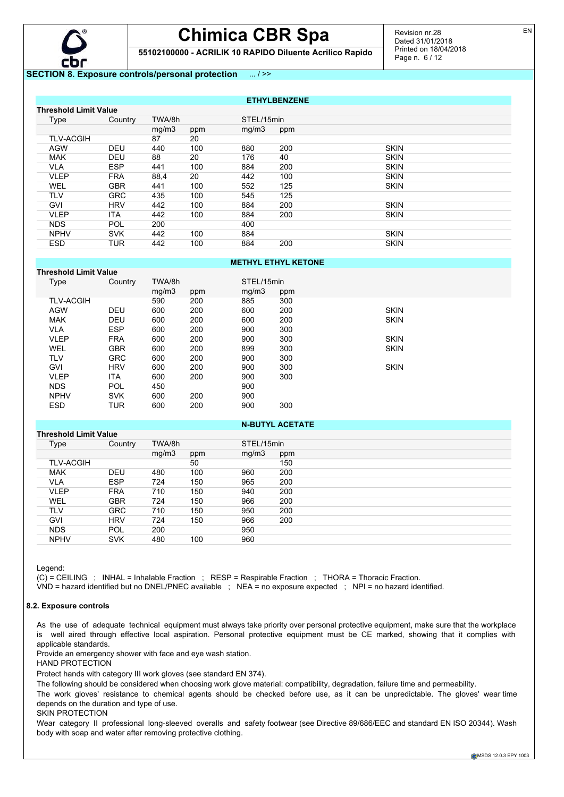

**55102100000 - ACRILIK 10 RAPIDO Diluente Acrilico Rapido**

## **SECTION 8. Exposure controls/personal protection** ... / >>

| <b>ETHYLBENZENE</b> |                              |        |     |            |     |             |  |  |
|---------------------|------------------------------|--------|-----|------------|-----|-------------|--|--|
|                     | <b>Threshold Limit Value</b> |        |     |            |     |             |  |  |
| Type                | Country                      | TWA/8h |     | STEL/15min |     |             |  |  |
|                     |                              | mg/m3  | ppm | mq/m3      | ppm |             |  |  |
| <b>TLV-ACGIH</b>    |                              | 87     | 20  |            |     |             |  |  |
| <b>AGW</b>          | <b>DEU</b>                   | 440    | 100 | 880        | 200 | <b>SKIN</b> |  |  |
| <b>MAK</b>          | <b>DEU</b>                   | 88     | 20  | 176        | 40  | <b>SKIN</b> |  |  |
| <b>VLA</b>          | <b>ESP</b>                   | 441    | 100 | 884        | 200 | <b>SKIN</b> |  |  |
| <b>VLEP</b>         | <b>FRA</b>                   | 88,4   | 20  | 442        | 100 | <b>SKIN</b> |  |  |
| <b>WEL</b>          | <b>GBR</b>                   | 441    | 100 | 552        | 125 | <b>SKIN</b> |  |  |
| <b>TLV</b>          | <b>GRC</b>                   | 435    | 100 | 545        | 125 |             |  |  |
| <b>GVI</b>          | <b>HRV</b>                   | 442    | 100 | 884        | 200 | <b>SKIN</b> |  |  |
| <b>VLEP</b>         | <b>ITA</b>                   | 442    | 100 | 884        | 200 | <b>SKIN</b> |  |  |
| <b>NDS</b>          | <b>POL</b>                   | 200    |     | 400        |     |             |  |  |
| <b>NPHV</b>         | <b>SVK</b>                   | 442    | 100 | 884        |     | <b>SKIN</b> |  |  |
| <b>ESD</b>          | <b>TUR</b>                   | 442    | 100 | 884        | 200 | <b>SKIN</b> |  |  |

## **METHYL ETHYL KETONE**

| Threshold Limit Value |            |        |     |            |     |             |
|-----------------------|------------|--------|-----|------------|-----|-------------|
| Type                  | Country    | TWA/8h |     | STEL/15min |     |             |
|                       |            | mq/m3  | ppm | mq/m3      | ppm |             |
| <b>TLV-ACGIH</b>      |            | 590    | 200 | 885        | 300 |             |
| <b>AGW</b>            | <b>DEU</b> | 600    | 200 | 600        | 200 | <b>SKIN</b> |
| <b>MAK</b>            | <b>DEU</b> | 600    | 200 | 600        | 200 | <b>SKIN</b> |
| <b>VLA</b>            | <b>ESP</b> | 600    | 200 | 900        | 300 |             |
| <b>VLEP</b>           | <b>FRA</b> | 600    | 200 | 900        | 300 | <b>SKIN</b> |
| <b>WEL</b>            | <b>GBR</b> | 600    | 200 | 899        | 300 | <b>SKIN</b> |
| <b>TLV</b>            | <b>GRC</b> | 600    | 200 | 900        | 300 |             |
| <b>GVI</b>            | <b>HRV</b> | 600    | 200 | 900        | 300 | <b>SKIN</b> |
| <b>VLEP</b>           | <b>ITA</b> | 600    | 200 | 900        | 300 |             |
| <b>NDS</b>            | <b>POL</b> | 450    |     | 900        |     |             |
| <b>NPHV</b>           | <b>SVK</b> | 600    | 200 | 900        |     |             |
| <b>ESD</b>            | TUR        | 600    | 200 | 900        | 300 |             |

## **Threshold Limit Value**

| Type             | Country    | TWA/8h |     | STEL/15min |     |
|------------------|------------|--------|-----|------------|-----|
|                  |            | mg/m3  | ppm | mg/m3      | ppm |
| <b>TLV-ACGIH</b> |            |        | 50  |            | 150 |
| <b>MAK</b>       | <b>DEU</b> | 480    | 100 | 960        | 200 |
| <b>VLA</b>       | <b>ESP</b> | 724    | 150 | 965        | 200 |
| <b>VLEP</b>      | <b>FRA</b> | 710    | 150 | 940        | 200 |
| WEL              | <b>GBR</b> | 724    | 150 | 966        | 200 |
| TLV              | <b>GRC</b> | 710    | 150 | 950        | 200 |
| GVI              | <b>HRV</b> | 724    | 150 | 966        | 200 |
| <b>NDS</b>       | <b>POL</b> | 200    |     | 950        |     |
| <b>NPHV</b>      | <b>SVK</b> | 480    | 100 | 960        |     |
|                  |            |        |     |            |     |

**N-BUTYL ACETATE**

Legend:

(C) = CEILING ; INHAL = Inhalable Fraction ; RESP = Respirable Fraction ; THORA = Thoracic Fraction.

VND = hazard identified but no DNEL/PNEC available ; NEA = no exposure expected ; NPI = no hazard identified.

### **8.2. Exposure controls**

As the use of adequate technical equipment must always take priority over personal protective equipment, make sure that the workplace is well aired through effective local aspiration. Personal protective equipment must be CE marked, showing that it complies with applicable standards.

Provide an emergency shower with face and eye wash station.

HAND PROTECTION

Protect hands with category III work gloves (see standard EN 374).

The following should be considered when choosing work glove material: compatibility, degradation, failure time and permeability.

The work gloves' resistance to chemical agents should be checked before use, as it can be unpredictable. The gloves' wear time depends on the duration and type of use.

SKIN PROTECTION

Wear category II professional long-sleeved overalls and safety footwear (see Directive 89/686/EEC and standard EN ISO 20344). Wash body with soap and water after removing protective clothing.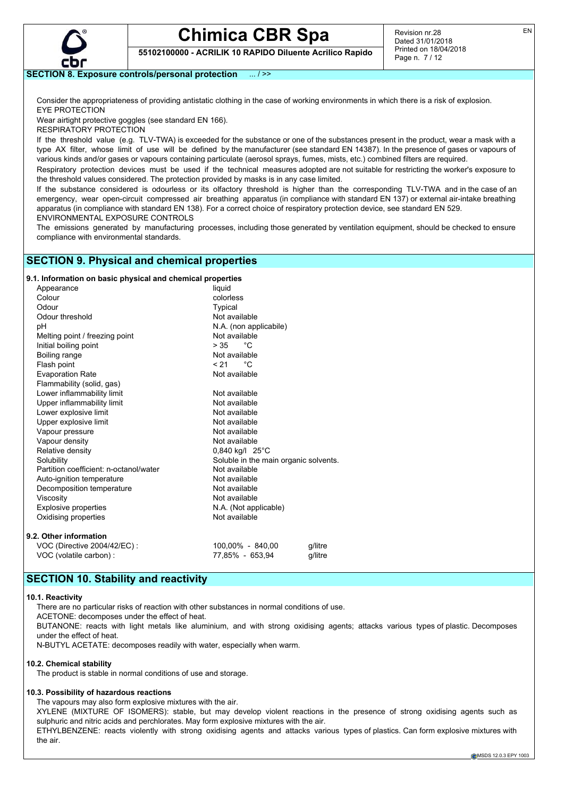

EN

**55102100000 - ACRILIK 10 RAPIDO Diluente Acrilico Rapido**

## **SECTION 8. Exposure controls/personal protection** ... / >>

Consider the appropriateness of providing antistatic clothing in the case of working environments in which there is a risk of explosion. EYE PROTECTION

Wear airtight protective goggles (see standard EN 166).

RESPIRATORY PROTECTION

If the threshold value (e.g. TLV-TWA) is exceeded for the substance or one of the substances present in the product, wear a mask with a type AX filter, whose limit of use will be defined by the manufacturer (see standard EN 14387). In the presence of gases or vapours of various kinds and/or gases or vapours containing particulate (aerosol sprays, fumes, mists, etc.) combined filters are required.

Respiratory protection devices must be used if the technical measures adopted are not suitable for restricting the worker's exposure to the threshold values considered. The protection provided by masks is in any case limited.

If the substance considered is odourless or its olfactory threshold is higher than the corresponding TLV-TWA and in the case of an emergency, wear open-circuit compressed air breathing apparatus (in compliance with standard EN 137) or external air-intake breathing apparatus (in compliance with standard EN 138). For a correct choice of respiratory protection device, see standard EN 529. ENVIRONMENTAL EXPOSURE CONTROLS

The emissions generated by manufacturing processes, including those generated by ventilation equipment, should be checked to ensure compliance with environmental standards.

## **SECTION 9. Physical and chemical properties**

## **9.1. Information on basic physical and chemical properties**

| Appearance                             | liquid                                |  |
|----------------------------------------|---------------------------------------|--|
| Colour                                 | colorless                             |  |
| Odour                                  | Typical                               |  |
| Odour threshold                        | Not available                         |  |
| рH                                     | N.A. (non applicabile)                |  |
| Melting point / freezing point         | Not available                         |  |
| Initial boiling point                  | $>35$ °C                              |  |
| Boiling range                          | Not available                         |  |
| Flash point                            | °€<br>< 21                            |  |
| <b>Evaporation Rate</b>                | Not available                         |  |
| Flammability (solid, gas)              |                                       |  |
| Lower inflammability limit             | Not available                         |  |
| Upper inflammability limit             | Not available                         |  |
| Lower explosive limit                  | Not available                         |  |
| Upper explosive limit                  | Not available                         |  |
| Vapour pressure                        | Not available                         |  |
| Vapour density                         | Not available                         |  |
| Relative density                       | $0,840$ kg/l $25^{\circ}$ C           |  |
| Solubility                             | Soluble in the main organic solvents. |  |
| Partition coefficient: n-octanol/water | Not available                         |  |
| Auto-ignition temperature              | Not available                         |  |
| Decomposition temperature              | Not available                         |  |
| Viscosity                              | Not available                         |  |
| <b>Explosive properties</b>            | N.A. (Not applicable)                 |  |
| Oxidising properties                   | Not available                         |  |
| 9.2. Other information                 |                                       |  |
| VOC (Directive 2004/42/EC) :           | 100,00% - 840,00<br>q/litre           |  |

VOC (volatile carbon) : 77,85% - 653,94 g/litre

## **SECTION 10. Stability and reactivity**

### **10.1. Reactivity**

There are no particular risks of reaction with other substances in normal conditions of use.

ACETONE: decomposes under the effect of heat.

BUTANONE: reacts with light metals like aluminium, and with strong oxidising agents; attacks various types of plastic. Decomposes under the effect of heat.

N-BUTYL ACETATE: decomposes readily with water, especially when warm.

### **10.2. Chemical stability**

The product is stable in normal conditions of use and storage.

## **10.3. Possibility of hazardous reactions**

The vapours may also form explosive mixtures with the air.

XYLENE (MIXTURE OF ISOMERS): stable, but may develop violent reactions in the presence of strong oxidising agents such as sulphuric and nitric acids and perchlorates. May form explosive mixtures with the air.

ETHYLBENZENE: reacts violently with strong oxidising agents and attacks various types of plastics. Can form explosive mixtures with the air.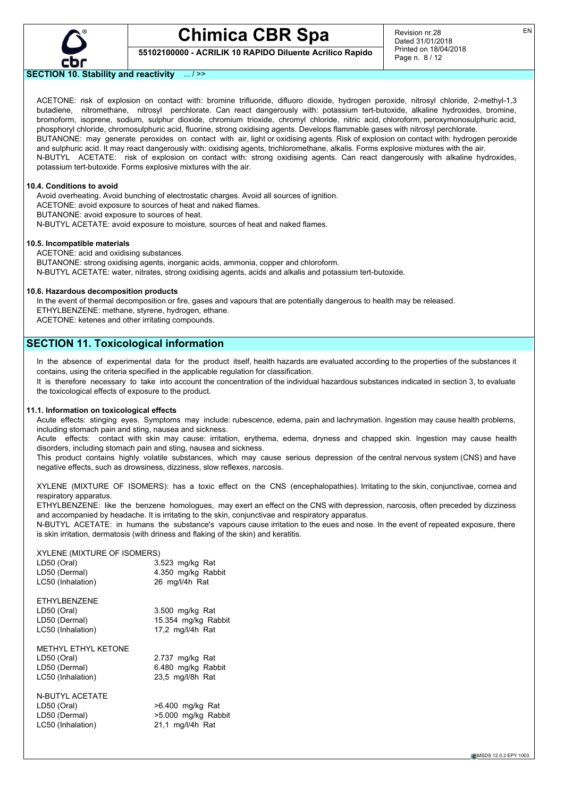

Revision nr.28 Dated 31/01/2018 Printed on 18/04/2018 Page n. 8 / 12

## **55102100000 - ACRILIK 10 RAPIDO Diluente Acrilico Rapido**

**SECTION 10. Stability and reactivity** ... / >>

ACETONE: risk of explosion on contact with: bromine trifluoride, difluoro dioxide, hydrogen peroxide, nitrosyl chloride, 2-methyl-1,3 butadiene, nitromethane, nitrosyl perchlorate. Can react dangerously with: potassium tert-butoxide, alkaline hydroxides, bromine, bromoform, isoprene, sodium, sulphur dioxide, chromium trioxide, chromyl chloride, nitric acid, chloroform, peroxymonosulphuric acid, phosphoryl chloride, chromosulphuric acid, fluorine, strong oxidising agents. Develops flammable gases with nitrosyl perchlorate. BUTANONE: may generate peroxides on contact with air, light or oxidising agents. Risk of explosion on contact with: hydrogen peroxide and sulphuric acid. It may react dangerously with: oxidising agents, trichloromethane, alkalis. Forms explosive mixtures with the air. N-BUTYL ACETATE: risk of explosion on contact with: strong oxidising agents. Can react dangerously with alkaline hydroxides, potassium tert-butoxide. Forms explosive mixtures with the air.

#### **10.4. Conditions to avoid**

Avoid overheating. Avoid bunching of electrostatic charges. Avoid all sources of ignition. ACETONE: avoid exposure to sources of heat and naked flames. BUTANONE: avoid exposure to sources of heat. N-BUTYL ACETATE: avoid exposure to moisture, sources of heat and naked flames.

#### **10.5. Incompatible materials**

ACETONE: acid and oxidising substances. BUTANONE: strong oxidising agents, inorganic acids, ammonia, copper and chloroform. N-BUTYL ACETATE: water, nitrates, strong oxidising agents, acids and alkalis and potassium tert-butoxide.

### **10.6. Hazardous decomposition products**

In the event of thermal decomposition or fire, gases and vapours that are potentially dangerous to health may be released. ETHYLBENZENE: methane, styrene, hydrogen, ethane.

ACETONE: ketenes and other irritating compounds.

## **SECTION 11. Toxicological information**

In the absence of experimental data for the product itself, health hazards are evaluated according to the properties of the substances it contains, using the criteria specified in the applicable regulation for classification.

It is therefore necessary to take into account the concentration of the individual hazardous substances indicated in section 3, to evaluate the toxicological effects of exposure to the product.

### **11.1. Information on toxicological effects**

Acute effects: stinging eyes. Symptoms may include: rubescence, edema, pain and lachrymation. Ingestion may cause health problems, including stomach pain and sting, nausea and sickness.

Acute effects: contact with skin may cause: irritation, erythema, edema, dryness and chapped skin. Ingestion may cause health disorders, including stomach pain and sting, nausea and sickness.

This product contains highly volatile substances, which may cause serious depression of the central nervous system (CNS) and have negative effects, such as drowsiness, dizziness, slow reflexes, narcosis.

XYLENE (MIXTURE OF ISOMERS): has a toxic effect on the CNS (encephalopathies). Irritating to the skin, conjunctivae, cornea and respiratory apparatus.

ETHYLBENZENE: like the benzene homologues, may exert an effect on the CNS with depression, narcosis, often preceded by dizziness and accompanied by headache. It is irritating to the skin, conjunctivae and respiratory apparatus.

N-BUTYL ACETATE: in humans the substance's vapours cause irritation to the eues and nose. In the event of repeated exposure, there is skin irritation, dermatosis (with driness and flaking of the skin) and keratitis.

### XYLENE (MIXTURE OF ISOMERS)

| LD50 (Oral)<br>LD50 (Dermal)<br>LC50 (Inhalation)                                           | 3.523 mg/kg Rat<br>4.350 mg/kg Rabbit<br>26 mg/l/4h Rat    |
|---------------------------------------------------------------------------------------------|------------------------------------------------------------|
| ETHYLBENZENE<br>LD50 (Oral)<br>LD50 (Dermal)<br>LC50 (Inhalation)                           | 3.500 mg/kg Rat<br>15.354 mg/kg Rabbit<br>17,2 mg/l/4h Rat |
| METHYL FTHYL KFTONE<br>LD50 (Oral)<br>LD50 (Dermal)<br>LC50 (Inhalation)<br>N-BUTYL ACETATE | 2.737 mg/kg Rat<br>6.480 mg/kg Rabbit<br>23,5 mg/l/8h Rat  |

N-BUTYL ACETATE LD50 (Oral) >6.400 mg/kg Rat LC50 (Inhalation) 21,1 mg/l/4h Rat

LD50 (Dermal) >5.000 mg/kg Rabbit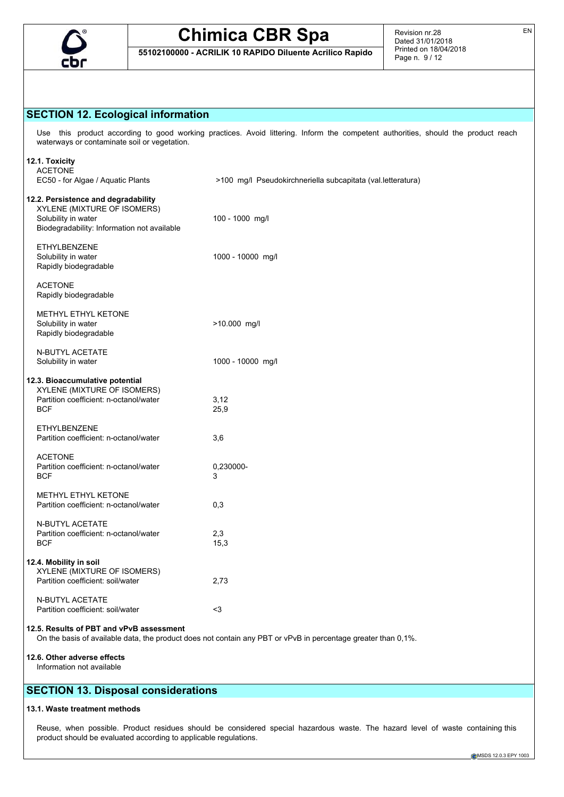

## **SECTION 12. Ecological information**

Use this product according to good working practices. Avoid littering. Inform the competent authorities, should the product reach waterways or contaminate soil or vegetation.

| 12.1. Toxicity<br><b>ACETONE</b><br>EC50 - for Algae / Aquatic Plants                                                                    | >100 mg/l Pseudokirchneriella subcapitata (val. letteratura)                                                  |
|------------------------------------------------------------------------------------------------------------------------------------------|---------------------------------------------------------------------------------------------------------------|
| 12.2. Persistence and degradability<br>XYLENE (MIXTURE OF ISOMERS)<br>Solubility in water<br>Biodegradability: Information not available | 100 - 1000 mg/l                                                                                               |
| <b>ETHYLBENZENE</b><br>Solubility in water<br>Rapidly biodegradable                                                                      | 1000 - 10000 mg/l                                                                                             |
| <b>ACETONE</b><br>Rapidly biodegradable                                                                                                  |                                                                                                               |
| METHYL ETHYL KETONE<br>Solubility in water<br>Rapidly biodegradable                                                                      | >10.000 mg/l                                                                                                  |
| N-BUTYL ACETATE<br>Solubility in water                                                                                                   | 1000 - 10000 mg/l                                                                                             |
| 12.3. Bioaccumulative potential<br>XYLENE (MIXTURE OF ISOMERS)<br>Partition coefficient: n-octanol/water<br><b>BCF</b>                   | 3,12<br>25,9                                                                                                  |
| ETHYLBENZENE<br>Partition coefficient: n-octanol/water                                                                                   | 3,6                                                                                                           |
| <b>ACETONE</b><br>Partition coefficient: n-octanol/water<br><b>BCF</b>                                                                   | 0,230000-<br>3                                                                                                |
| METHYL ETHYL KETONE<br>Partition coefficient: n-octanol/water                                                                            | 0,3                                                                                                           |
| N-BUTYL ACETATE<br>Partition coefficient: n-octanol/water<br><b>BCF</b>                                                                  | 2,3<br>15,3                                                                                                   |
| 12.4. Mobility in soil<br>XYLENE (MIXTURE OF ISOMERS)<br>Partition coefficient: soil/water                                               | 2,73                                                                                                          |
| <b>N-BUTYL ACETATE</b><br>Partition coefficient: soil/water                                                                              | $3$                                                                                                           |
| 12.5. Results of PBT and vPvB assessment                                                                                                 | On the basis of available data, the product does not contain any PBT or vPvB in percentage greater than 0,1%. |
| 12.6. Other adverse effects                                                                                                              |                                                                                                               |

Information not available

## **SECTION 13. Disposal considerations**

### **13.1. Waste treatment methods**

Reuse, when possible. Product residues should be considered special hazardous waste. The hazard level of waste containing this product should be evaluated according to applicable regulations.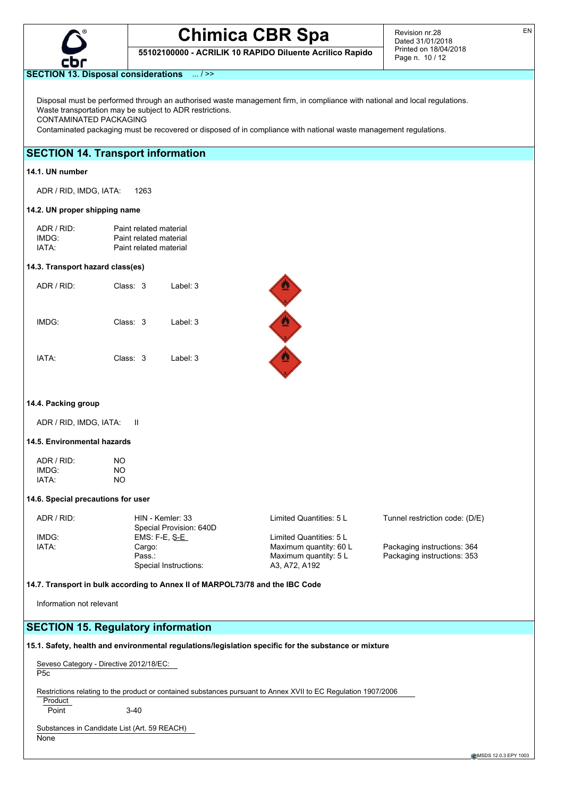

**55102100000 - ACRILIK 10 RAPIDO Diluente Acrilico Rapido**

Revision nr.28 Dated 31/01/2018 Printed on 18/04/2018 Page n. 10 / 12

## **SECTION 13. Disposal considerations** ... / >>

Disposal must be performed through an authorised waste management firm, in compliance with national and local regulations. Waste transportation may be subject to ADR restrictions. CONTAMINATED PACKAGING

Contaminated packaging must be recovered or disposed of in compliance with national waste management regulations.

## **SECTION 14. Transport information**

### **14.1. UN number**

ADR / RID, IMDG, IATA: 1263

#### **14.2. UN proper shipping name**

| ADR / RID: | Paint related material |
|------------|------------------------|
| IMDG:      | Paint related material |
| IATA:      | Paint related material |

#### **14.3. Transport hazard class(es)**

| ADR / RID: | Class: 3 | Label: $3$ |
|------------|----------|------------|
| IMDG:      | Class: 3 | Label: $3$ |
| IATA:      | Class: 3 | Label: 3   |



#### **14.4. Packing group**

ADR / RID, IMDG, IATA: II

### **14.5. Environmental hazards**

| ADR / RID: | NO |
|------------|----|
| IMDG:      | NO |
| IATA:      | NO |

### **14.6. Special precautions for user**

| Tunnel restriction code: (D/E) |  |
|--------------------------------|--|
|                                |  |
|                                |  |
|                                |  |
|                                |  |
|                                |  |
|                                |  |

**14.7. Transport in bulk according to Annex II of MARPOL73/78 and the IBC Code**

Information not relevant

## **SECTION 15. Regulatory information**

**15.1. Safety, health and environmental regulations/legislation specific for the substance or mixture**

| P <sub>5</sub> c                             | Seveso Category - Directive 2012/18/EC: |                                                                                                                |
|----------------------------------------------|-----------------------------------------|----------------------------------------------------------------------------------------------------------------|
|                                              |                                         | Restrictions relating to the product or contained substances pursuant to Annex XVII to EC Regulation 1907/2006 |
| Product                                      |                                         |                                                                                                                |
| Point                                        | $3-40$                                  |                                                                                                                |
|                                              |                                         |                                                                                                                |
| Substances in Candidate List (Art. 59 REACH) |                                         |                                                                                                                |

None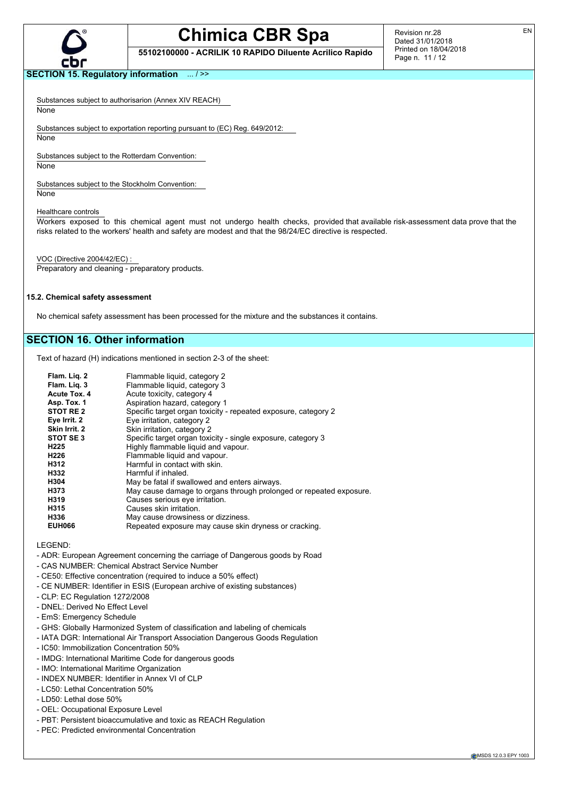

**55102100000 - ACRILIK 10 RAPIDO Diluente Acrilico Rapido**

Revision nr.28 Dated 31/01/2018 Printed on 18/04/2018 Page n. 11 / 12

## **SECTION 15. Regulatory information** ... / >>

Substances subject to authorisarion (Annex XIV REACH)

**None** 

Substances subject to exportation reporting pursuant to (EC) Reg. 649/2012:

None

Substances subject to the Rotterdam Convention:

None

Substances subject to the Stockholm Convention:

None

Healthcare controls

Workers exposed to this chemical agent must not undergo health checks, provided that available risk-assessment data prove that the risks related to the workers' health and safety are modest and that the 98/24/EC directive is respected.

VOC (Directive 2004/42/EC) :

Preparatory and cleaning - preparatory products.

#### **15.2. Chemical safety assessment**

No chemical safety assessment has been processed for the mixture and the substances it contains.

## **SECTION 16. Other information**

Text of hazard (H) indications mentioned in section 2-3 of the sheet:

| Flam. Lig. 2        | Flammable liquid, category 2                                       |
|---------------------|--------------------------------------------------------------------|
| Flam. Lig. 3        | Flammable liquid, category 3                                       |
| <b>Acute Tox. 4</b> | Acute toxicity, category 4                                         |
| Asp. Tox. 1         | Aspiration hazard, category 1                                      |
| STOT RE 2           | Specific target organ toxicity - repeated exposure, category 2     |
| Eye Irrit. 2        | Eye irritation, category 2                                         |
| Skin Irrit. 2       | Skin irritation, category 2                                        |
| STOT SE3            | Specific target organ toxicity - single exposure, category 3       |
| H <sub>225</sub>    | Highly flammable liquid and vapour.                                |
| H <sub>226</sub>    | Flammable liquid and vapour.                                       |
| H312                | Harmful in contact with skin.                                      |
| H332                | Harmful if inhaled.                                                |
| H304                | May be fatal if swallowed and enters airways.                      |
| H373                | May cause damage to organs through prolonged or repeated exposure. |
| H319                | Causes serious eye irritation.                                     |
| H315                | Causes skin irritation.                                            |
| H336                | May cause drowsiness or dizziness.                                 |
| <b>EUH066</b>       | Repeated exposure may cause skin dryness or cracking.              |

LEGEND:

- ADR: European Agreement concerning the carriage of Dangerous goods by Road
- CAS NUMBER: Chemical Abstract Service Number
- CE50: Effective concentration (required to induce a 50% effect)
- CE NUMBER: Identifier in ESIS (European archive of existing substances)
- CLP: EC Regulation 1272/2008
- DNEL: Derived No Effect Level
- EmS: Emergency Schedule
- GHS: Globally Harmonized System of classification and labeling of chemicals
- IATA DGR: International Air Transport Association Dangerous Goods Regulation
- IC50: Immobilization Concentration 50%
- IMDG: International Maritime Code for dangerous goods
- IMO: International Maritime Organization
- INDEX NUMBER: Identifier in Annex VI of CLP
- LC50: Lethal Concentration 50%
- LD50: Lethal dose 50%
- OEL: Occupational Exposure Level
- PBT: Persistent bioaccumulative and toxic as REACH Regulation
- PEC: Predicted environmental Concentration